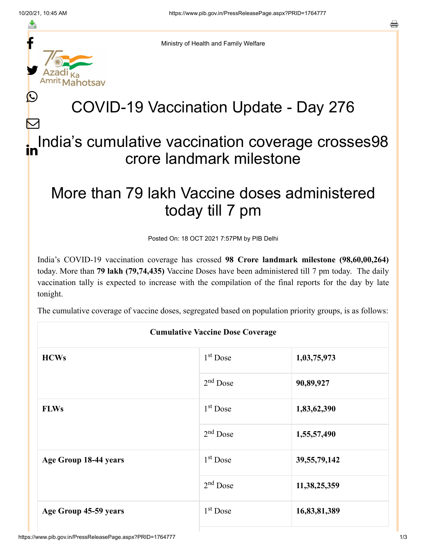≛

 $\bm{\nabla}$ 



Ministry of Health and Family Welfare

## COVID-19 Vaccination Update - Day 276

## India's cumulative vaccination coverage crosses98 crore landmark milestone in

## More than 79 lakh Vaccine doses administered today till 7 pm

Posted On: 18 OCT 2021 7:57PM by PIB Delhi

India's COVID-19 vaccination coverage has crossed **98 Crore landmark milestone (98,60,00,264)** today. More than **79 lakh (79,74,435)** Vaccine Doses have been administered till 7 pm today. The daily vaccination tally is expected to increase with the compilation of the final reports for the day by late tonight.

The cumulative coverage of vaccine doses, segregated based on population priority groups, is as follows:

| <b>Cumulative Vaccine Dose Coverage</b> |                      |                 |  |  |
|-----------------------------------------|----------------------|-----------------|--|--|
| <b>HCWs</b>                             | 1 <sup>st</sup> Dose | 1,03,75,973     |  |  |
|                                         | $2nd$ Dose           | 90,89,927       |  |  |
| <b>FLWs</b>                             | $1st$ Dose           | 1,83,62,390     |  |  |
|                                         | $2nd$ Dose           | 1,55,57,490     |  |  |
| Age Group 18-44 years                   | $1st$ Dose           | 39, 55, 79, 142 |  |  |
|                                         | 2 <sup>nd</sup> Dose | 11, 38, 25, 359 |  |  |
| Age Group 45-59 years                   | $1st$ Dose           | 16,83,81,389    |  |  |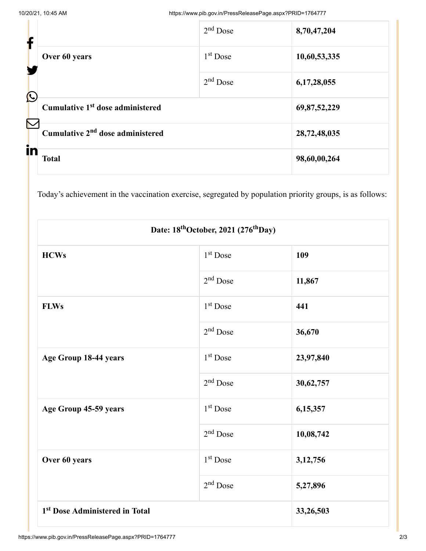| f                     |                                              | $2nd$ Dose | 8,70,47,204  |
|-----------------------|----------------------------------------------|------------|--------------|
|                       | Over 60 years                                | $1st$ Dose | 10,60,53,335 |
| $\bigcirc$            |                                              | $2nd$ Dose | 6,17,28,055  |
| $\boldsymbol{\nabla}$ | Cumulative 1 <sup>st</sup> dose administered |            | 69,87,52,229 |
|                       | Cumulative 2 <sup>nd</sup> dose administered |            | 28,72,48,035 |
| in                    | <b>Total</b>                                 |            | 98,60,00,264 |

Today's achievement in the vaccination exercise, segregated by population priority groups, is as follows:

| Date: 18 <sup>th</sup> October, 2021 (276 <sup>th</sup> Day) |                      |           |  |  |
|--------------------------------------------------------------|----------------------|-----------|--|--|
| <b>HCWs</b>                                                  | 1 <sup>st</sup> Dose | 109       |  |  |
|                                                              | $2nd$ Dose           | 11,867    |  |  |
| <b>FLWs</b>                                                  | 1 <sup>st</sup> Dose | 441       |  |  |
|                                                              | $2nd$ Dose           | 36,670    |  |  |
| Age Group 18-44 years                                        | 1 <sup>st</sup> Dose | 23,97,840 |  |  |
|                                                              | $2nd$ Dose           | 30,62,757 |  |  |
| Age Group 45-59 years                                        | $1st$ Dose           | 6,15,357  |  |  |
|                                                              | $2nd$ Dose           | 10,08,742 |  |  |
| Over 60 years                                                | 1 <sup>st</sup> Dose | 3,12,756  |  |  |
|                                                              | $2nd$ Dose           | 5,27,896  |  |  |
| 1 <sup>st</sup> Dose Administered in Total                   |                      | 33,26,503 |  |  |